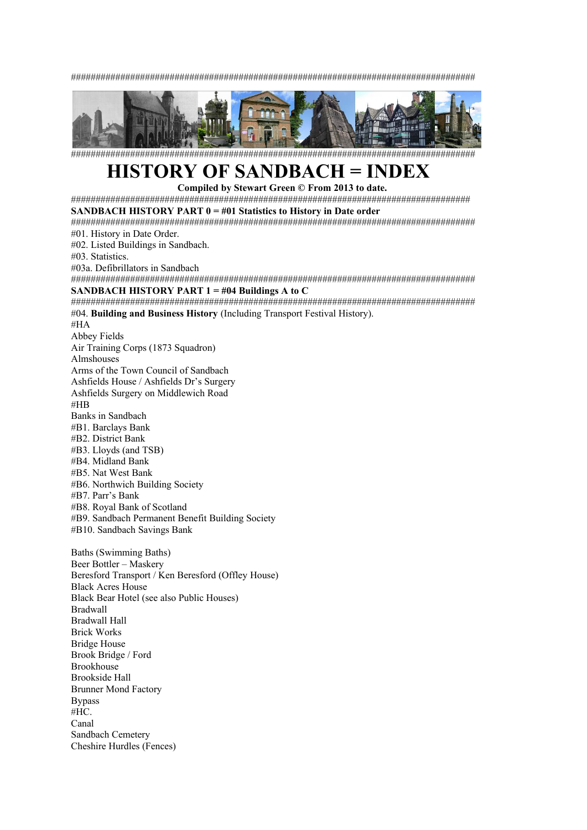##################################################################################



##################################################################################

# **HISTORY OF SANDBACH = INDEX**

**Compiled by Stewart Green © From 2013 to date.** 

#################################################################################

**SANDBACH HISTORY PART 0 = #01 Statistics to History in Date order** 

################################################################################## #01. History in Date Order.

#02. Listed Buildings in Sandbach.

#03. Statistics.

Sandbach Cemetery Cheshire Hurdles (Fences)

#03a. Defibrillators in Sandbach

##################################################################################

# **SANDBACH HISTORY PART 1 = #04 Buildings A to C**

################################################################################## #04. **Building and Business History** (Including Transport Festival History). #HA Abbey Fields Air Training Corps (1873 Squadron) Almshouses Arms of the Town Council of Sandbach Ashfields House / Ashfields Dr's Surgery Ashfields Surgery on Middlewich Road #HB Banks in Sandbach #B1. Barclays Bank #B2. District Bank #B3. Lloyds (and TSB) #B4. Midland Bank #B5. Nat West Bank #B6. Northwich Building Society #B7. Parr's Bank #B8. Royal Bank of Scotland #B9. Sandbach Permanent Benefit Building Society #B10. Sandbach Savings Bank Baths (Swimming Baths) Beer Bottler – Maskery Beresford Transport / Ken Beresford (Offley House) Black Acres House Black Bear Hotel (see also Public Houses) Bradwall Bradwall Hall Brick Works Bridge House Brook Bridge / Ford Brookhouse Brookside Hall Brunner Mond Factory Bypass #HC. Canal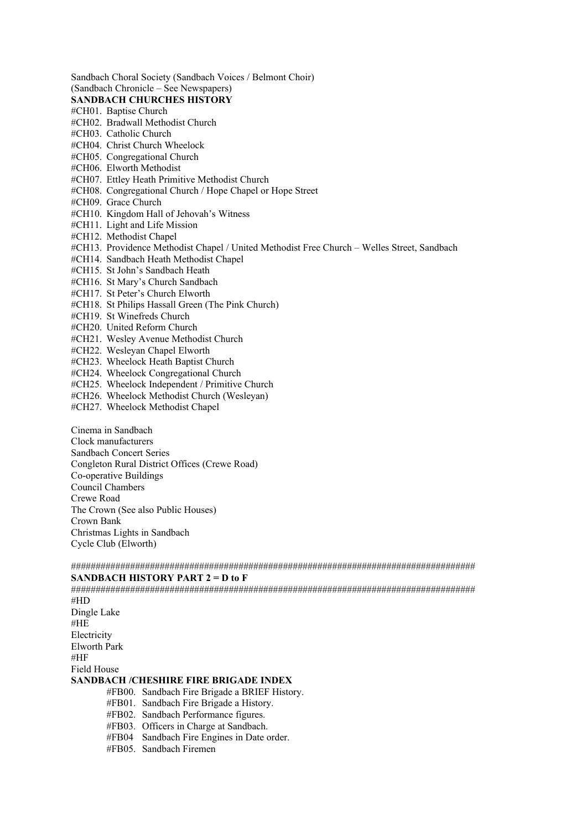Sandbach Choral Society (Sandbach Voices / Belmont Choir) (Sandbach Chronicle – See Newspapers) **SANDBACH CHURCHES HISTORY** #CH01. Baptise Church #CH02. Bradwall Methodist Church #CH03. Catholic Church #CH04. Christ Church Wheelock #CH05. Congregational Church #CH06. Elworth Methodist #CH07. Ettley Heath Primitive Methodist Church #CH08. Congregational Church / Hope Chapel or Hope Street #CH09. Grace Church #CH10. Kingdom Hall of Jehovah's Witness #CH11. Light and Life Mission #CH12. Methodist Chapel #CH13. Providence Methodist Chapel / United Methodist Free Church – Welles Street, Sandbach #CH14. Sandbach Heath Methodist Chapel #CH15. St John's Sandbach Heath #CH16. St Mary's Church Sandbach #CH17. St Peter's Church Elworth #CH18. St Philips Hassall Green (The Pink Church) #CH19. St Winefreds Church #CH20. United Reform Church #CH21. Wesley Avenue Methodist Church #CH22. Wesleyan Chapel Elworth #CH23. Wheelock Heath Baptist Church #CH24. Wheelock Congregational Church #CH25. Wheelock Independent / Primitive Church #CH26. Wheelock Methodist Church (Wesleyan)

#CH27. Wheelock Methodist Chapel

Cinema in Sandbach Clock manufacturers Sandbach Concert Series Congleton Rural District Offices (Crewe Road) Co-operative Buildings Council Chambers Crewe Road The Crown (See also Public Houses) Crown Bank Christmas Lights in Sandbach Cycle Club (Elworth)

##################################################################################

### **SANDBACH HISTORY PART 2 = D to F**

################################################################################## #HD Dingle Lake #HE Electricity Elworth Park #HF Field House **SANDBACH /CHESHIRE FIRE BRIGADE INDEX** #FB00. Sandbach Fire Brigade a BRIEF History. #FB01. Sandbach Fire Brigade a History.

- #FB02. Sandbach Performance figures.
- #FB03. Officers in Charge at Sandbach.
- #FB04 Sandbach Fire Engines in Date order.
- #FB05. Sandbach Firemen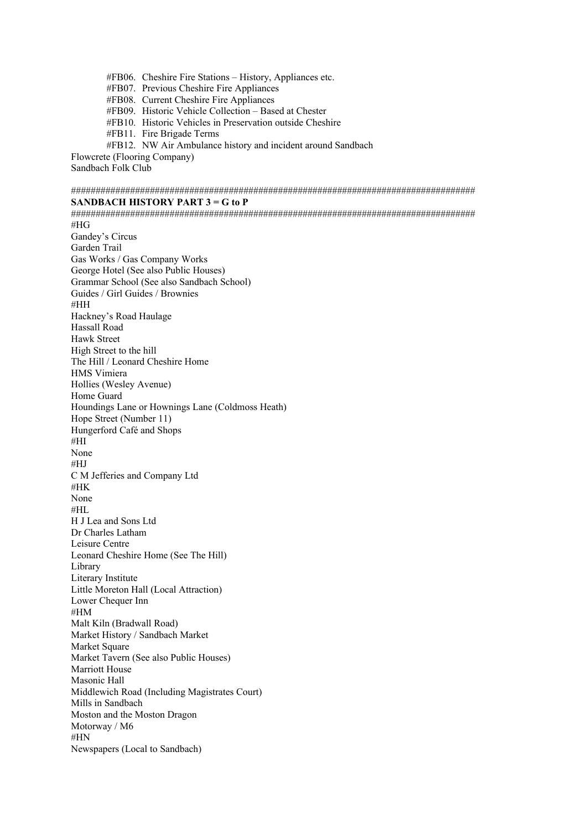#FB06. Cheshire Fire Stations – History, Appliances etc. #FB07. Previous Cheshire Fire Appliances #FB08. Current Cheshire Fire Appliances #FB09. Historic Vehicle Collection – Based at Chester #FB10. Historic Vehicles in Preservation outside Cheshire #FB11. Fire Brigade Terms #FB12. NW Air Ambulance history and incident around Sandbach Flowcrete (Flooring Company)

Sandbach Folk Club

##################################################################################

# **SANDBACH HISTORY PART 3 = G to P**

################################################################################## #HG Gandey's Circus Garden Trail Gas Works / Gas Company Works George Hotel (See also Public Houses) Grammar School (See also Sandbach School) Guides / Girl Guides / Brownies #HH Hackney's Road Haulage Hassall Road Hawk Street High Street to the hill The Hill / Leonard Cheshire Home HMS Vimiera Hollies (Wesley Avenue) Home Guard Houndings Lane or Hownings Lane (Coldmoss Heath) Hope Street (Number 11) Hungerford Café and Shops #HI None #HJ C M Jefferies and Company Ltd #HK None #HL H J Lea and Sons Ltd Dr Charles Latham Leisure Centre Leonard Cheshire Home (See The Hill) Library Literary Institute Little Moreton Hall (Local Attraction) Lower Chequer Inn #HM Malt Kiln (Bradwall Road) Market History / Sandbach Market Market Square Market Tavern (See also Public Houses) Marriott House Masonic Hall Middlewich Road (Including Magistrates Court) Mills in Sandbach Moston and the Moston Dragon Motorway / M6 #HN Newspapers (Local to Sandbach)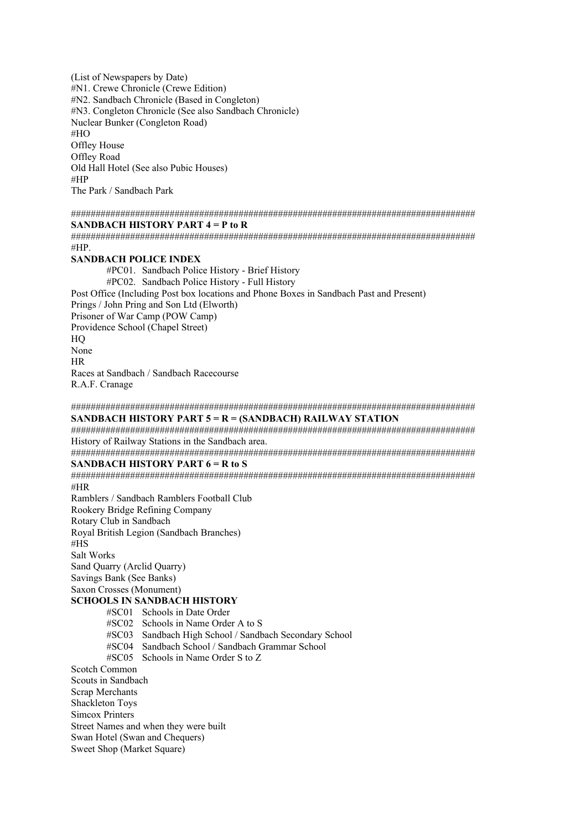(List of Newspapers by Date) #N1. Crewe Chronicle (Crewe Edition) #N2. Sandbach Chronicle (Based in Congleton) #N3. Congleton Chronicle (See also Sandbach Chronicle) Nuclear Bunker (Congleton Road) #HO Offley House Offley Road Old Hall Hotel (See also Pubic Houses) #HP The Park / Sandbach Park

################################################################################## **SANDBACH HISTORY PART 4 = P to R** 

################################################################################## #HP.

#### **SANDBACH POLICE INDEX**

#PC01. Sandbach Police History - Brief History #PC02. Sandbach Police History - Full History Post Office (Including Post box locations and Phone Boxes in Sandbach Past and Present) Prings / John Pring and Son Ltd (Elworth) Prisoner of War Camp (POW Camp) Providence School (Chapel Street) HQ None HR Races at Sandbach / Sandbach Racecourse R.A.F. Cranage

### ################################################################################## **SANDBACH HISTORY PART 5 = R = (SANDBACH) RAILWAY STATION**

################################################################################## History of Railway Stations in the Sandbach area.

##################################################################################

## **SANDBACH HISTORY PART 6 = R to S**

################################################################################## #HR Ramblers / Sandbach Ramblers Football Club Rookery Bridge Refining Company Rotary Club in Sandbach Royal British Legion (Sandbach Branches) #HS Salt Works Sand Quarry (Arclid Quarry) Savings Bank (See Banks) Saxon Crosses (Monument) **SCHOOLS IN SANDBACH HISTORY**  #SC01 Schools in Date Order #SC02 Schools in Name Order A to S #SC03 Sandbach High School / Sandbach Secondary School #SC04 Sandbach School / Sandbach Grammar School #SC05 Schools in Name Order S to Z Scotch Common Scouts in Sandbach Scrap Merchants Shackleton Toys Simcox Printers Street Names and when they were built Swan Hotel (Swan and Chequers) Sweet Shop (Market Square)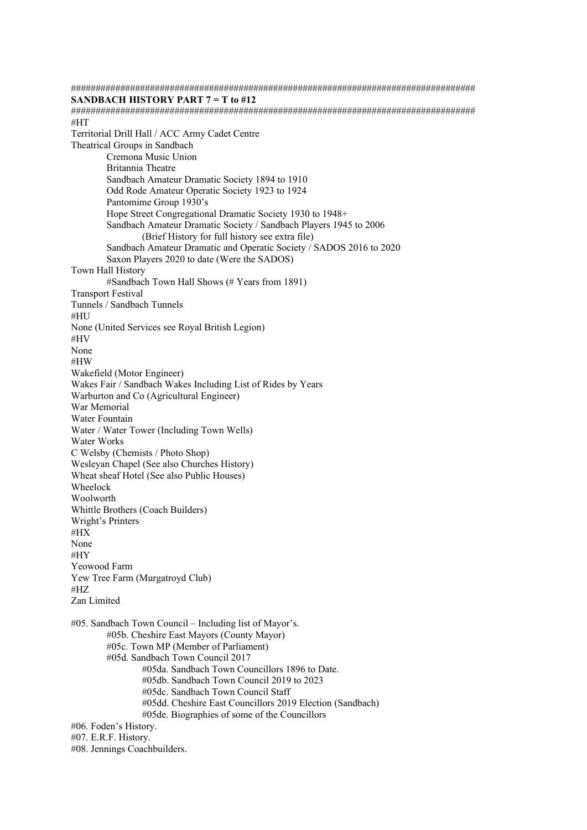################################################################################## **SANDBACH HISTORY PART 7 = T to #12**  ################################################################################## #HT Territorial Drill Hall / ACC Army Cadet Centre Theatrical Groups in Sandbach Cremona Music Union Britannia Theatre Sandbach Amateur Dramatic Society 1894 to 1910 Odd Rode Amateur Operatic Society 1923 to 1924 Pantomime Group 1930's Hope Street Congregational Dramatic Society 1930 to 1948+ Sandbach Amateur Dramatic Society / Sandbach Players 1945 to 2006 (Brief History for full history see extra file) Sandbach Amateur Dramatic and Operatic Society / SADOS 2016 to 2020 Saxon Players 2020 to date (Were the SADOS) Town Hall History #Sandbach Town Hall Shows (# Years from 1891) Transport Festival Tunnels / Sandbach Tunnels #HU None (United Services see Royal British Legion) #HV None #HW Wakefield (Motor Engineer) Wakes Fair / Sandbach Wakes Including List of Rides by Years Warburton and Co (Agricultural Engineer) War Memorial Water Fountain Water / Water Tower (Including Town Wells) Water Works C Welsby (Chemists / Photo Shop) Wesleyan Chapel (See also Churches History) Wheat sheaf Hotel (See also Public Houses) Wheelock Woolworth Whittle Brothers (Coach Builders) Wright's Printers #HX None #HY Yeowood Farm Yew Tree Farm (Murgatroyd Club) #HZ Zan Limited #05. Sandbach Town Council – Including list of Mayor's. #05b. Cheshire East Mayors (County Mayor) #05c. Town MP (Member of Parliament) #05d. Sandbach Town Council 2017 #05da. Sandbach Town Councillors 1896 to Date. #05db. Sandbach Town Council 2019 to 2023 #05dc. Sandbach Town Council Staff #05dd. Cheshire East Councillors 2019 Election (Sandbach) #05de. Biographies of some of the Councillors #06. Foden's History. #07. E.R.F. History. #08. Jennings Coachbuilders.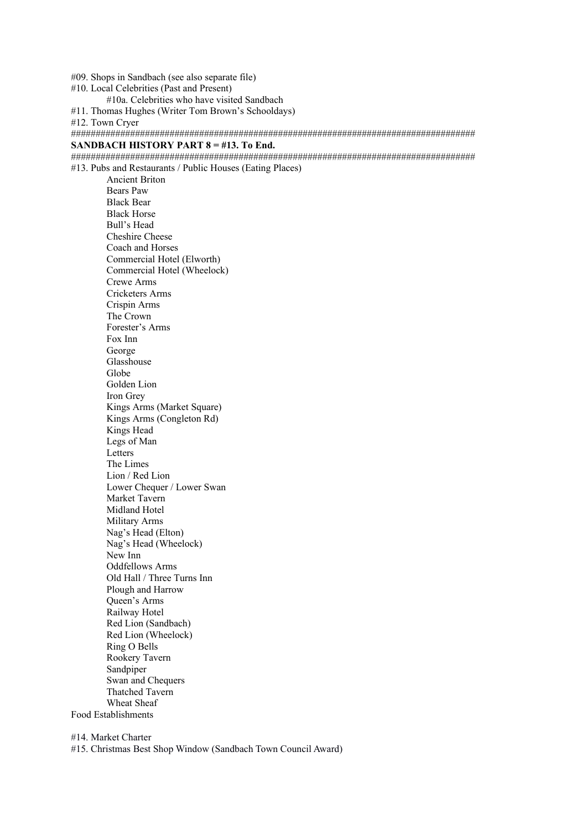#09. Shops in Sandbach (see also separate file)

#10. Local Celebrities (Past and Present)

#10a. Celebrities who have visited Sandbach

#11. Thomas Hughes (Writer Tom Brown's Schooldays)

#12. Town Cryer

################################################################################## **SANDBACH HISTORY PART 8 = #13. To End.**

################################################################################## #13. Pubs and Restaurants / Public Houses (Eating Places)

 Ancient Briton Bears Paw Black Bear Black Horse Bull's Head Cheshire Cheese Coach and Horses Commercial Hotel (Elworth) Commercial Hotel (Wheelock) Crewe Arms Cricketers Arms Crispin Arms The Crown Forester's Arms Fox Inn George Glasshouse Globe Golden Lion Iron Grey Kings Arms (Market Square) Kings Arms (Congleton Rd) Kings Head Legs of Man Letters The Limes Lion / Red Lion Lower Chequer / Lower Swan Market Tavern Midland Hotel Military Arms Nag's Head (Elton) Nag's Head (Wheelock) New Inn Oddfellows Arms Old Hall / Three Turns Inn Plough and Harrow Queen's Arms Railway Hotel Red Lion (Sandbach) Red Lion (Wheelock) Ring O Bells Rookery Tavern Sandpiper Swan and Chequers Thatched Tavern Wheat Sheaf Food Establishments

#14. Market Charter #15. Christmas Best Shop Window (Sandbach Town Council Award)